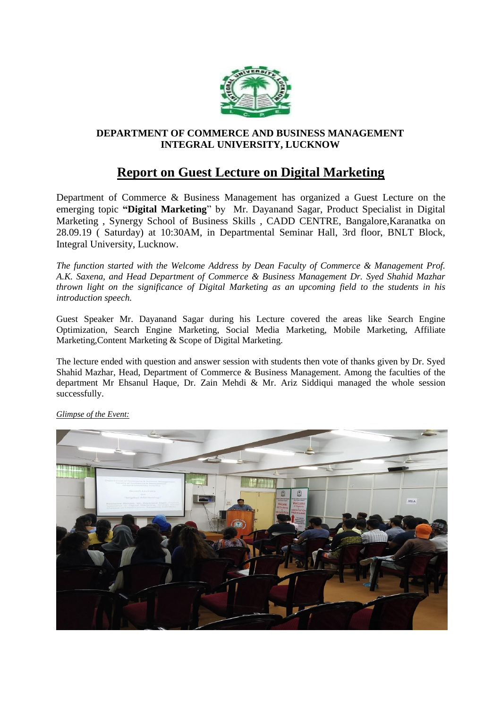

## **DEPARTMENT OF COMMERCE AND BUSINESS MANAGEMENT INTEGRAL UNIVERSITY, LUCKNOW**

## **Report on Guest Lecture on Digital Marketing**

Department of Commerce & Business Management has organized a Guest Lecture on the emerging topic **"Digital Marketing**" by Mr. Dayanand Sagar, Product Specialist in Digital Marketing , Synergy School of Business Skills , CADD CENTRE, Bangalore,Karanatka on 28.09.19 ( Saturday) at 10:30AM, in Departmental Seminar Hall, 3rd floor, BNLT Block, Integral University, Lucknow.

*The function started with the Welcome Address by Dean Faculty of Commerce & Management Prof. A.K. Saxena, and Head Department of Commerce & Business Management Dr. Syed Shahid Mazhar thrown light on the significance of Digital Marketing as an upcoming field to the students in his introduction speech.*

Guest Speaker Mr. Dayanand Sagar during his Lecture covered the areas like Search Engine Optimization, Search Engine Marketing, Social Media Marketing, Mobile Marketing, Affiliate Marketing,Content Marketing & Scope of Digital Marketing.

The lecture ended with question and answer session with students then vote of thanks given by Dr. Syed Shahid Mazhar, Head, Department of Commerce & Business Management. Among the faculties of the department Mr Ehsanul Haque, Dr. Zain Mehdi & Mr. Ariz Siddiqui managed the whole session successfully.



*Glimpse of the Event:*